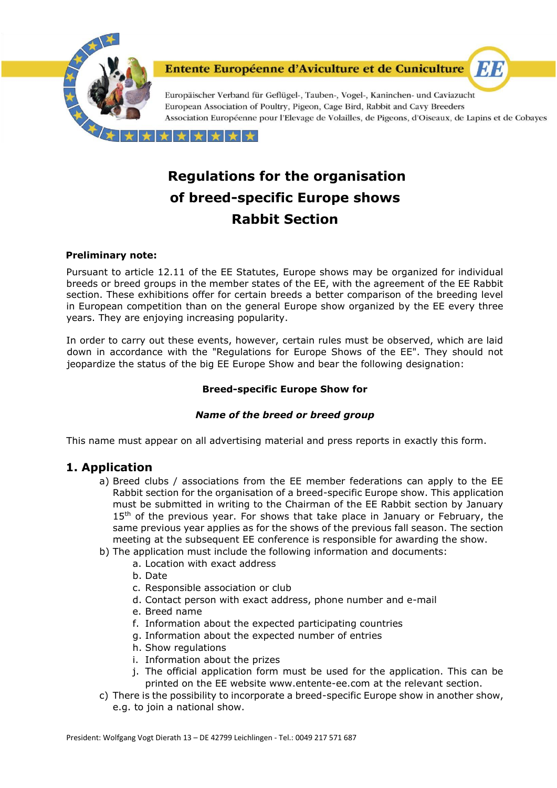

# **Regulations for the organisation of breed-specific Europe shows Rabbit Section**

#### **Preliminary note:**

Pursuant to article 12.11 of the EE Statutes, Europe shows may be organized for individual breeds or breed groups in the member states of the EE, with the agreement of the EE Rabbit section. These exhibitions offer for certain breeds a better comparison of the breeding level in European competition than on the general Europe show organized by the EE every three years. They are enjoying increasing popularity.

In order to carry out these events, however, certain rules must be observed, which are laid down in accordance with the "Regulations for Europe Shows of the EE". They should not jeopardize the status of the big EE Europe Show and bear the following designation:

#### **Breed-specific Europe Show for**

#### *Name of the breed or breed group*

This name must appear on all advertising material and press reports in exactly this form.

# **1. Application**

- a) Breed clubs / associations from the EE member federations can apply to the EE Rabbit section for the organisation of a breed-specific Europe show. This application must be submitted in writing to the Chairman of the EE Rabbit section by January 15<sup>th</sup> of the previous year. For shows that take place in January or February, the same previous year applies as for the shows of the previous fall season. The section meeting at the subsequent EE conference is responsible for awarding the show.
- b) The application must include the following information and documents:
	- a. Location with exact address
	- b. Date
	- c. Responsible association or club
	- d. Contact person with exact address, phone number and e-mail
	- e. Breed name
	- f. Information about the expected participating countries
	- g. Information about the expected number of entries
	- h. Show regulations
	- i. Information about the prizes
	- j. The official application form must be used for the application. This can be printed on the EE website www.entente-ee.com at the relevant section.
- c) There is the possibility to incorporate a breed-specific Europe show in another show, e.g. to join a national show.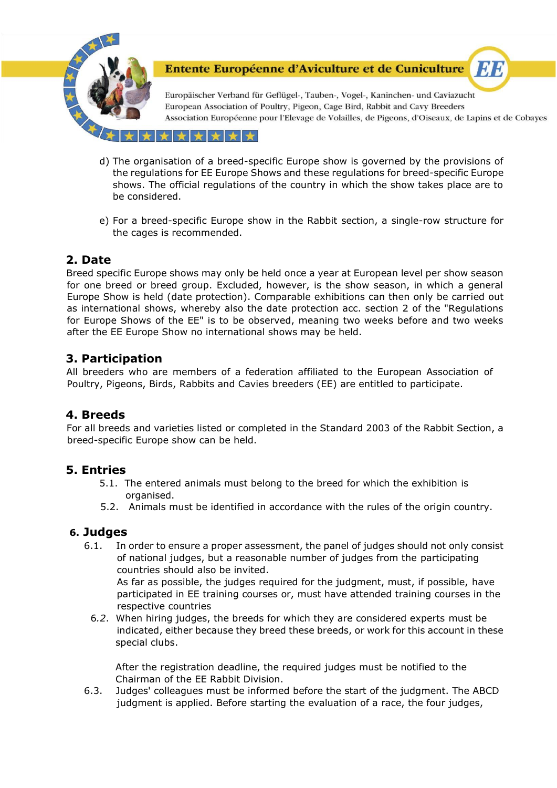

Europäischer Verband für Geflügel-, Tauben-, Vogel-, Kaninchen- und Caviazucht European Association of Poultry, Pigeon, Cage Bird, Rabbit and Cavy Breeders Association Européenne pour l'Elevage de Volailles, de Pigeons, d'Oiseaux, de Lapins et de Cobayes

**ET B** 

\*\*\*\*

- d) The organisation of a breed-specific Europe show is governed by the provisions of the regulations for EE Europe Shows and these regulations for breed-specific Europe shows. The official regulations of the country in which the show takes place are to be considered.
- e) For a breed-specific Europe show in the Rabbit section, a single-row structure for the cages is recommended.

# **2. Date**

Breed specific Europe shows may only be held once a year at European level per show season for one breed or breed group. Excluded, however, is the show season, in which a general Europe Show is held (date protection). Comparable exhibitions can then only be carried out as international shows, whereby also the date protection acc. section 2 of the "Regulations for Europe Shows of the EE" is to be observed, meaning two weeks before and two weeks after the EE Europe Show no international shows may be held.

# **3. Participation**

All breeders who are members of a federation affiliated to the European Association of Poultry, Pigeons, Birds, Rabbits and Cavies breeders (EE) are entitled to participate.

#### **4. Breeds**

For all breeds and varieties listed or completed in the Standard 2003 of the Rabbit Section, a breed-specific Europe show can be held.

### **5. Entries**

- 5.1. The entered animals must belong to the breed for which the exhibition is organised.
- 5.2. Animals must be identified in accordance with the rules of the origin country.

#### **6. Judges**

6.1. In order to ensure a proper assessment, the panel of judges should not only consist of national judges, but a reasonable number of judges from the participating countries should also be invited. As far as possible, the judges required for the judgment, must, if possible, have

 participated in EE training courses or, must have attended training courses in the respective countries

 6*.2*. When hiring judges, the breeds for which they are considered experts must be indicated, either because they breed these breeds, or work for this account in these special clubs.

 After the registration deadline, the required judges must be notified to the Chairman of the EE Rabbit Division.

6.3. Judges' colleagues must be informed before the start of the judgment. The ABCD judgment is applied. Before starting the evaluation of a race, the four judges,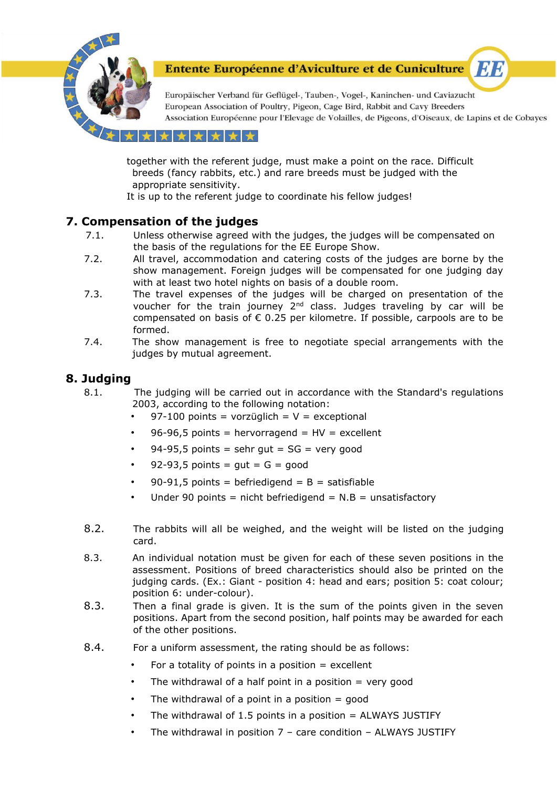

Europäischer Verband für Geflügel-, Tauben-, Vogel-, Kaninchen- und Caviazucht European Association of Poultry, Pigeon, Cage Bird, Rabbit and Cavy Breeders Association Européenne pour l'Elevage de Volailles, de Pigeons, d'Oiseaux, de Lapins et de Cobayes

ETE

#### \*\*\*\*

 together with the referent judge, must make a point on the race. Difficult breeds (fancy rabbits, etc.) and rare breeds must be judged with the appropriate sensitivity.

It is up to the referent judge to coordinate his fellow judges!

# **7. Compensation of the judges**

- 7.1. Unless otherwise agreed with the judges, the judges will be compensated on the basis of the regulations for the EE Europe Show.
- 7.2. All travel, accommodation and catering costs of the judges are borne by the show management. Foreign judges will be compensated for one judging day with at least two hotel nights on basis of a double room.
- 7.3. The travel expenses of the judges will be charged on presentation of the voucher for the train journey  $2<sup>nd</sup>$  class. Judges traveling by car will be compensated on basis of  $\epsilon$  0.25 per kilometre. If possible, carpools are to be formed.
- 7.4. The show management is free to negotiate special arrangements with the judges by mutual agreement.

## **8. Judging**

- 8.1. The judging will be carried out in accordance with the Standard's regulations 2003, according to the following notation:
	- 97-100 points = vorzüglich =  $V =$  exceptional
	- 96-96,5 points = hervorragend =  $HV =$  excellent
	- $94-95.5$  points = sehr gut = SG = very good
	- $92-93,5$  points = gut =  $G =$  good
	- 90-91,5 points = befriedigend =  $B =$  satisfiable
	- Under 90 points = nicht befriedigend =  $N.B$  = unsatisfactory
- 8.2. The rabbits will all be weighed, and the weight will be listed on the judging card.
- 8.3. An individual notation must be given for each of these seven positions in the assessment. Positions of breed characteristics should also be printed on the judging cards. (Ex.: Giant - position 4: head and ears; position 5: coat colour; position 6: under-colour).
- 8.3. Then a final grade is given. It is the sum of the points given in the seven positions. Apart from the second position, half points may be awarded for each of the other positions.
- 8.4. For a uniform assessment, the rating should be as follows:
	- For a totality of points in a position  $=$  excellent
	- The withdrawal of a half point in a position  $=$  very good
	- The withdrawal of a point in a position  $=$  good
	- The withdrawal of 1.5 points in a position  $=$  ALWAYS JUSTIFY
	- The withdrawal in position  $7$  care condition ALWAYS JUSTIFY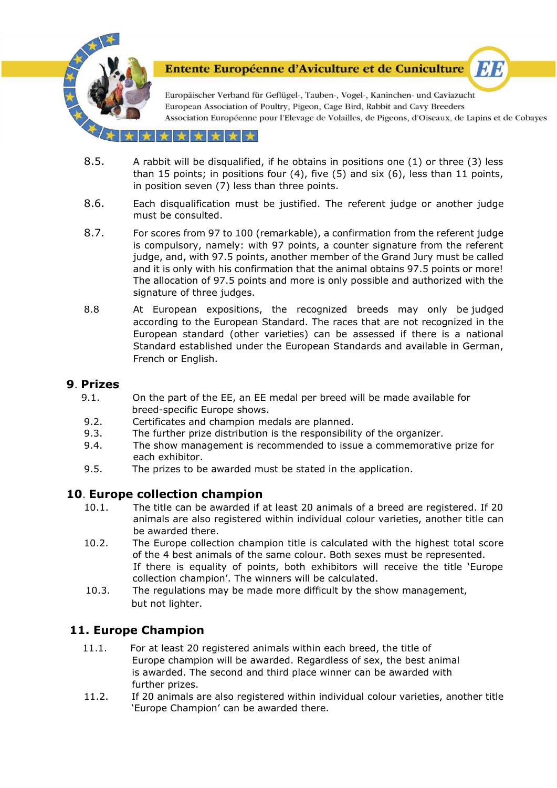

Europäischer Verband für Geflügel-, Tauben-, Vogel-, Kaninchen- und Caviazucht European Association of Poultry, Pigeon, Cage Bird, Rabbit and Cavy Breeders Association Européenne pour l'Elevage de Volailles, de Pigeons, d'Oiseaux, de Lapins et de Cobayes

ETE

#### \*\*\*

- 8.5. A rabbit will be disqualified, if he obtains in positions one (1) or three (3) less than 15 points; in positions four (4), five (5) and six (6), less than 11 points, in position seven (7) less than three points.
- 8.6. Each disqualification must be justified. The referent judge or another judge must be consulted.
- 8.7. For scores from 97 to 100 (remarkable), a confirmation from the referent judge is compulsory, namely: with 97 points, a counter signature from the referent judge, and, with 97.5 points, another member of the Grand Jury must be called and it is only with his confirmation that the animal obtains 97.5 points or more! The allocation of 97.5 points and more is only possible and authorized with the signature of three judges.
- 8.8 At European expositions, the recognized breeds may only be judged according to the European Standard. The races that are not recognized in the European standard (other varieties) can be assessed if there is a national Standard established under the European Standards and available in German, French or English.

#### **9**. **Prizes**

- 9.1. On the part of the EE, an EE medal per breed will be made available for breed-specific Europe shows.
- 9.2. Certificates and champion medals are planned.
- 9.3. The further prize distribution is the responsibility of the organizer.
- 9.4. The show management is recommended to issue a commemorative prize for each exhibitor.
- 9.5. The prizes to be awarded must be stated in the application.

#### **10**. **Europe collection champion**

- 10.1. The title can be awarded if at least 20 animals of a breed are registered. If 20 animals are also registered within individual colour varieties, another title can be awarded there.
- 10.2. The Europe collection champion title is calculated with the highest total score of the 4 best animals of the same colour. Both sexes must be represented. If there is equality of points, both exhibitors will receive the title 'Europe collection champion'. The winners will be calculated.
- 10.3. The regulations may be made more difficult by the show management, but not lighter.

# **11. Europe Champion**

- 11.1. For at least 20 registered animals within each breed, the title of Europe champion will be awarded. Regardless of sex, the best animal is awarded. The second and third place winner can be awarded with further prizes.
- 11.2. If 20 animals are also registered within individual colour varieties, another title 'Europe Champion' can be awarded there.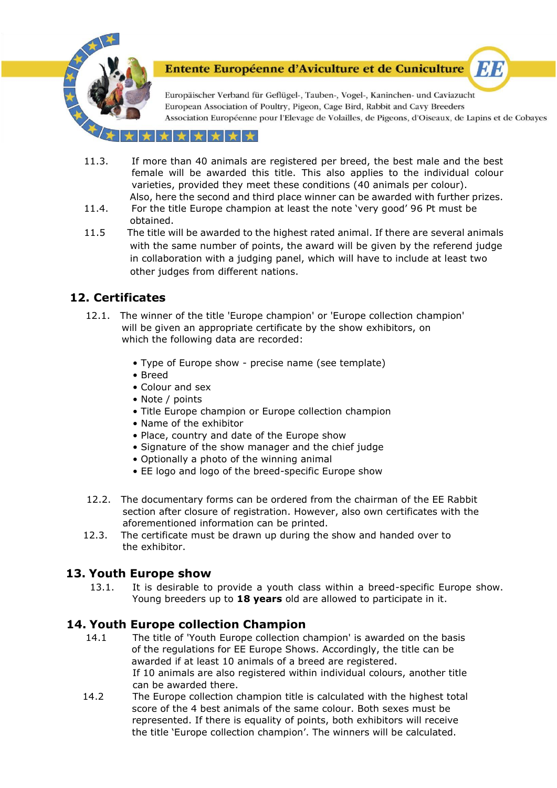

Europäischer Verband für Geflügel-, Tauben-, Vogel-, Kaninchen- und Caviazucht European Association of Poultry, Pigeon, Cage Bird, Rabbit and Cavy Breeders Association Européenne pour l'Elevage de Volailles, de Pigeons, d'Oiseaux, de Lapins et de Cobayes

**ET B** 

#### \* \* \* \*

- 11.3. If more than 40 animals are registered per breed, the best male and the best female will be awarded this title. This also applies to the individual colour varieties, provided they meet these conditions (40 animals per colour). Also, here the second and third place winner can be awarded with further prizes.
- 11.4. For the title Europe champion at least the note 'very good' 96 Pt must be obtained.
- 11.5 The title will be awarded to the highest rated animal. If there are several animals with the same number of points, the award will be given by the referend judge in collaboration with a judging panel, which will have to include at least two other judges from different nations.

# **12. Certificates**

- 12.1. The winner of the title 'Europe champion' or 'Europe collection champion' will be given an appropriate certificate by the show exhibitors, on which the following data are recorded:
	- Type of Europe show precise name (see template)
	- Breed
	- Colour and sex
	- Note / points
	- Title Europe champion or Europe collection champion
	- Name of the exhibitor
	- Place, country and date of the Europe show
	- Signature of the show manager and the chief judge
	- Optionally a photo of the winning animal
	- EE logo and logo of the breed-specific Europe show
- 12.2. The documentary forms can be ordered from the chairman of the EE Rabbit section after closure of registration. However, also own certificates with the aforementioned information can be printed.
- 12.3. The certificate must be drawn up during the show and handed over to the exhibitor.

# **13. Youth Europe show**

13.1. It is desirable to provide a youth class within a breed-specific Europe show. Young breeders up to **18 years** old are allowed to participate in it.

# **14. Youth Europe collection Champion**

- 14.1 The title of 'Youth Europe collection champion' is awarded on the basis of the regulations for EE Europe Shows. Accordingly, the title can be awarded if at least 10 animals of a breed are registered. If 10 animals are also registered within individual colours, another title can be awarded there.
- 14.2 The Europe collection champion title is calculated with the highest total score of the 4 best animals of the same colour. Both sexes must be represented. If there is equality of points, both exhibitors will receive the title 'Europe collection champion'. The winners will be calculated.